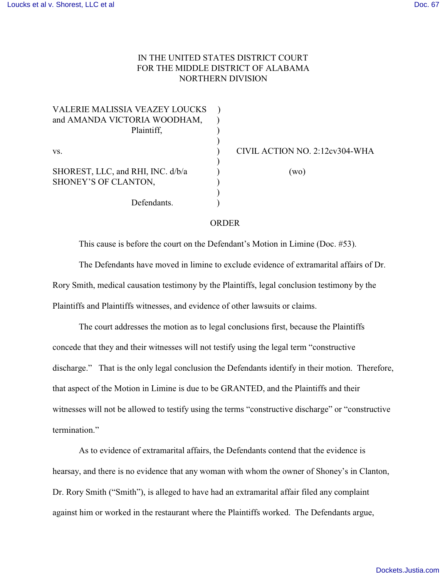## IN THE UNITED STATES DISTRICT COURT FOR THE MIDDLE DISTRICT OF ALABAMA NORTHERN DIVISION

| CIVIL ACTION NO. 2:12cv304-WHA |
|--------------------------------|
|                                |
| (wo)                           |
|                                |
|                                |
|                                |
|                                |

## ORDER

This cause is before the court on the Defendant's Motion in Limine (Doc. #53).

The Defendants have moved in limine to exclude evidence of extramarital affairs of Dr. Rory Smith, medical causation testimony by the Plaintiffs, legal conclusion testimony by the Plaintiffs and Plaintiffs witnesses, and evidence of other lawsuits or claims.

The court addresses the motion as to legal conclusions first, because the Plaintiffs concede that they and their witnesses will not testify using the legal term "constructive discharge." That is the only legal conclusion the Defendants identify in their motion. Therefore, that aspect of the Motion in Limine is due to be GRANTED, and the Plaintiffs and their witnesses will not be allowed to testify using the terms "constructive discharge" or "constructive termination."

As to evidence of extramarital affairs, the Defendants contend that the evidence is hearsay, and there is no evidence that any woman with whom the owner of Shoney's in Clanton, Dr. Rory Smith ("Smith"), is alleged to have had an extramarital affair filed any complaint against him or worked in the restaurant where the Plaintiffs worked. The Defendants argue,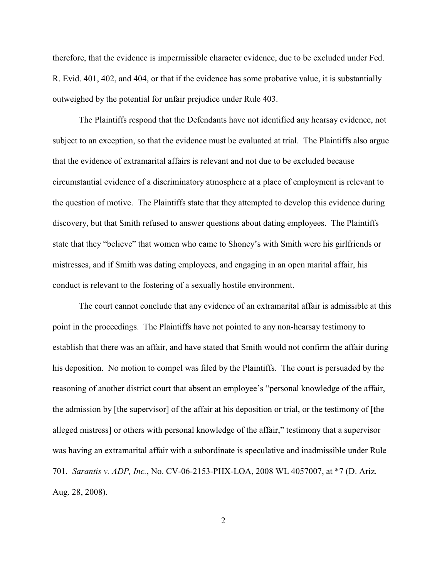therefore, that the evidence is impermissible character evidence, due to be excluded under Fed. R. Evid. 401, 402, and 404, or that if the evidence has some probative value, it is substantially outweighed by the potential for unfair prejudice under Rule 403.

The Plaintiffs respond that the Defendants have not identified any hearsay evidence, not subject to an exception, so that the evidence must be evaluated at trial. The Plaintiffs also argue that the evidence of extramarital affairs is relevant and not due to be excluded because circumstantial evidence of a discriminatory atmosphere at a place of employment is relevant to the question of motive. The Plaintiffs state that they attempted to develop this evidence during discovery, but that Smith refused to answer questions about dating employees. The Plaintiffs state that they "believe" that women who came to Shoney's with Smith were his girlfriends or mistresses, and if Smith was dating employees, and engaging in an open marital affair, his conduct is relevant to the fostering of a sexually hostile environment.

The court cannot conclude that any evidence of an extramarital affair is admissible at this point in the proceedings. The Plaintiffs have not pointed to any non-hearsay testimony to establish that there was an affair, and have stated that Smith would not confirm the affair during his deposition. No motion to compel was filed by the Plaintiffs. The court is persuaded by the reasoning of another district court that absent an employee's "personal knowledge of the affair, the admission by [the supervisor] of the affair at his deposition or trial, or the testimony of [the alleged mistress] or others with personal knowledge of the affair," testimony that a supervisor was having an extramarital affair with a subordinate is speculative and inadmissible under Rule 701. *Sarantis v. ADP, Inc.*, No. CV-06-2153-PHX-LOA, 2008 WL 4057007, at \*7 (D. Ariz. Aug. 28, 2008).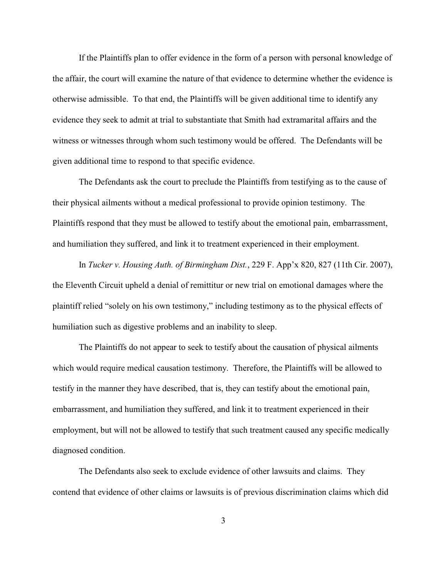If the Plaintiffs plan to offer evidence in the form of a person with personal knowledge of the affair, the court will examine the nature of that evidence to determine whether the evidence is otherwise admissible. To that end, the Plaintiffs will be given additional time to identify any evidence they seek to admit at trial to substantiate that Smith had extramarital affairs and the witness or witnesses through whom such testimony would be offered. The Defendants will be given additional time to respond to that specific evidence.

The Defendants ask the court to preclude the Plaintiffs from testifying as to the cause of their physical ailments without a medical professional to provide opinion testimony. The Plaintiffs respond that they must be allowed to testify about the emotional pain, embarrassment, and humiliation they suffered, and link it to treatment experienced in their employment.

In *Tucker v. Housing Auth. of Birmingham Dist.*, 229 F. App'x 820, 827 (11th Cir. 2007), the Eleventh Circuit upheld a denial of remittitur or new trial on emotional damages where the plaintiff relied "solely on his own testimony," including testimony as to the physical effects of humiliation such as digestive problems and an inability to sleep.

The Plaintiffs do not appear to seek to testify about the causation of physical ailments which would require medical causation testimony. Therefore, the Plaintiffs will be allowed to testify in the manner they have described, that is, they can testify about the emotional pain, embarrassment, and humiliation they suffered, and link it to treatment experienced in their employment, but will not be allowed to testify that such treatment caused any specific medically diagnosed condition.

The Defendants also seek to exclude evidence of other lawsuits and claims. They contend that evidence of other claims or lawsuits is of previous discrimination claims which did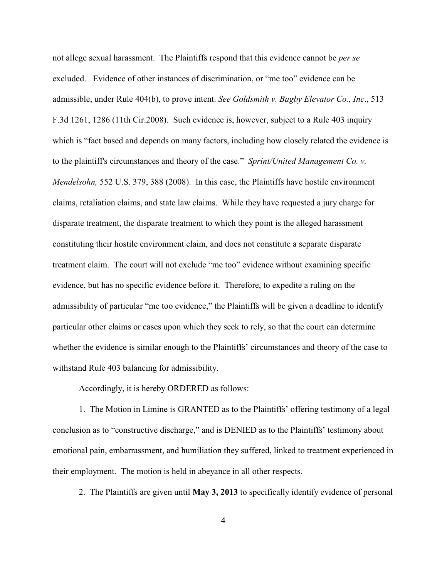not allege sexual harassment. The Plaintiffs respond that this evidence cannot be *per se* excluded. Evidence of other instances of discrimination, or "me too" evidence can be admissible, under Rule 404(b), to prove intent. *See Goldsmith v. Bagby Elevator Co., Inc*., 513 F.3d 1261, 1286 (11th Cir.2008). Such evidence is, however, subject to a Rule 403 inquiry which is "fact based and depends on many factors, including how closely related the evidence is to the plaintiff's circumstances and theory of the case." *Sprint/United Management Co. v. Mendelsohn,* 552 U.S. 379, 388 (2008). In this case, the Plaintiffs have hostile environment claims, retaliation claims, and state law claims. While they have requested a jury charge for disparate treatment, the disparate treatment to which they point is the alleged harassment constituting their hostile environment claim, and does not constitute a separate disparate treatment claim. The court will not exclude "me too" evidence without examining specific evidence, but has no specific evidence before it. Therefore, to expedite a ruling on the admissibility of particular "me too evidence," the Plaintiffs will be given a deadline to identify particular other claims or cases upon which they seek to rely, so that the court can determine whether the evidence is similar enough to the Plaintiffs' circumstances and theory of the case to withstand Rule 403 balancing for admissibility.

Accordingly, it is hereby ORDERED as follows:

1. The Motion in Limine is GRANTED as to the Plaintiffs' offering testimony of a legal conclusion as to "constructive discharge," and is DENIED as to the Plaintiffs' testimony about emotional pain, embarrassment, and humiliation they suffered, linked to treatment experienced in their employment. The motion is held in abeyance in all other respects.

2. The Plaintiffs are given until **May 3, 2013** to specifically identify evidence of personal